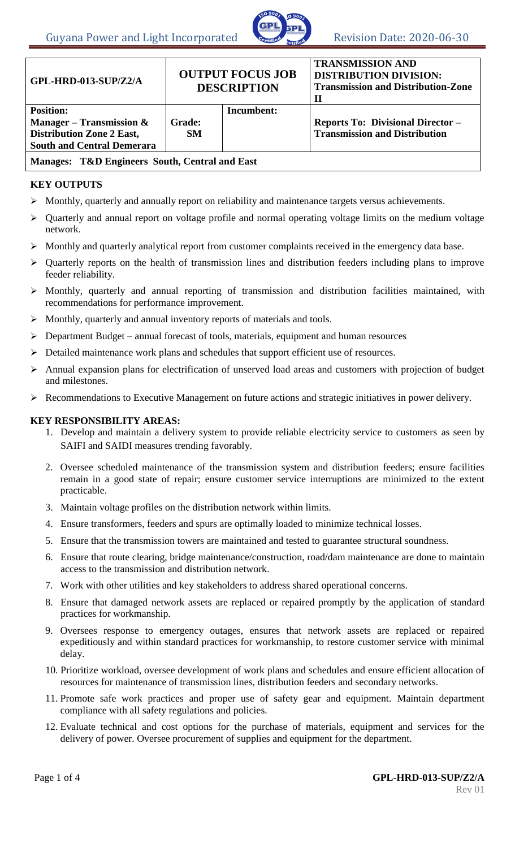

| GPL-HRD-013-SUP/Z2/A                                                                                                     | <b>OUTPUT FOCUS JOB</b><br><b>DESCRIPTION</b> |            | <b>TRANSMISSION AND</b><br><b>DISTRIBUTION DIVISION:</b><br><b>Transmission and Distribution-Zone</b><br>П |
|--------------------------------------------------------------------------------------------------------------------------|-----------------------------------------------|------------|------------------------------------------------------------------------------------------------------------|
| <b>Position:</b><br>Manager – Transmission $\&$<br><b>Distribution Zone 2 East,</b><br><b>South and Central Demerara</b> | <b>Grade:</b><br><b>SM</b>                    | Incumbent: | <b>Reports To: Divisional Director -</b><br><b>Transmission and Distribution</b>                           |
| Manages: T&D Engineers South, Central and East                                                                           |                                               |            |                                                                                                            |

## **KEY OUTPUTS**

- Monthly, quarterly and annually report on reliability and maintenance targets versus achievements.
- Quarterly and annual report on voltage profile and normal operating voltage limits on the medium voltage network.
- Monthly and quarterly analytical report from customer complaints received in the emergency data base.
- Quarterly reports on the health of transmission lines and distribution feeders including plans to improve feeder reliability.
- Monthly, quarterly and annual reporting of transmission and distribution facilities maintained, with recommendations for performance improvement.
- $\triangleright$  Monthly, quarterly and annual inventory reports of materials and tools.
- $\triangleright$  Department Budget annual forecast of tools, materials, equipment and human resources
- Detailed maintenance work plans and schedules that support efficient use of resources.
- Annual expansion plans for electrification of unserved load areas and customers with projection of budget and milestones.
- Recommendations to Executive Management on future actions and strategic initiatives in power delivery.

#### **KEY RESPONSIBILITY AREAS:**

- 1. Develop and maintain a delivery system to provide reliable electricity service to customers as seen by SAIFI and SAIDI measures trending favorably.
- 2. Oversee scheduled maintenance of the transmission system and distribution feeders; ensure facilities remain in a good state of repair; ensure customer service interruptions are minimized to the extent practicable.
- 3. Maintain voltage profiles on the distribution network within limits.
- 4. Ensure transformers, feeders and spurs are optimally loaded to minimize technical losses.
- 5. Ensure that the transmission towers are maintained and tested to guarantee structural soundness.
- 6. Ensure that route clearing, bridge maintenance/construction, road/dam maintenance are done to maintain access to the transmission and distribution network.
- 7. Work with other utilities and key stakeholders to address shared operational concerns.
- 8. Ensure that damaged network assets are replaced or repaired promptly by the application of standard practices for workmanship.
- 9. Oversees response to emergency outages, ensures that network assets are replaced or repaired expeditiously and within standard practices for workmanship, to restore customer service with minimal delay.
- 10. Prioritize workload, oversee development of work plans and schedules and ensure efficient allocation of resources for maintenance of transmission lines, distribution feeders and secondary networks.
- 11. Promote safe work practices and proper use of safety gear and equipment. Maintain department compliance with all safety regulations and policies.
- 12. Evaluate technical and cost options for the purchase of materials, equipment and services for the delivery of power. Oversee procurement of supplies and equipment for the department.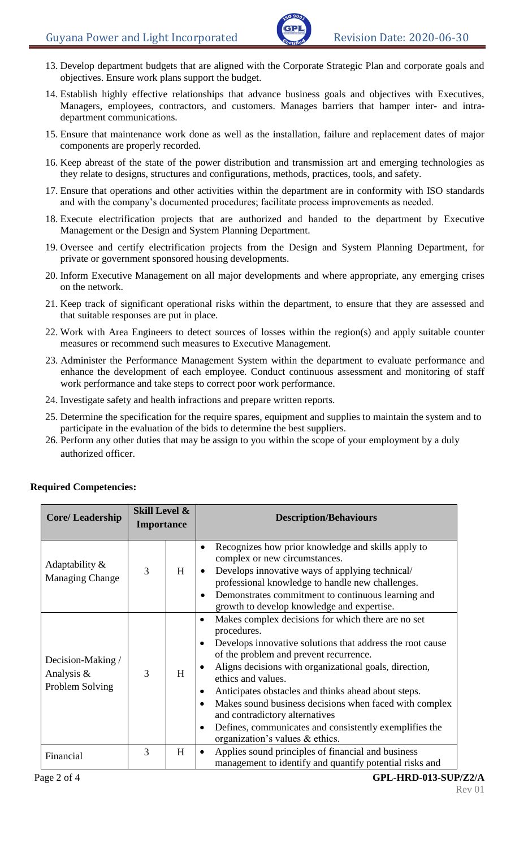- 13. Develop department budgets that are aligned with the Corporate Strategic Plan and corporate goals and objectives. Ensure work plans support the budget.
- 14. Establish highly effective relationships that advance business goals and objectives with Executives, Managers, employees, contractors, and customers. Manages barriers that hamper inter- and intradepartment communications.
- 15. Ensure that maintenance work done as well as the installation, failure and replacement dates of major components are properly recorded.
- 16. Keep abreast of the state of the power distribution and transmission art and emerging technologies as they relate to designs, structures and configurations, methods, practices, tools, and safety.
- 17. Ensure that operations and other activities within the department are in conformity with ISO standards and with the company's documented procedures; facilitate process improvements as needed.
- 18. Execute electrification projects that are authorized and handed to the department by Executive Management or the Design and System Planning Department.
- 19. Oversee and certify electrification projects from the Design and System Planning Department, for private or government sponsored housing developments.
- 20. Inform Executive Management on all major developments and where appropriate, any emerging crises on the network.
- 21. Keep track of significant operational risks within the department, to ensure that they are assessed and that suitable responses are put in place.
- 22. Work with Area Engineers to detect sources of losses within the region(s) and apply suitable counter measures or recommend such measures to Executive Management.
- 23. Administer the Performance Management System within the department to evaluate performance and enhance the development of each employee. Conduct continuous assessment and monitoring of staff work performance and take steps to correct poor work performance.
- 24. Investigate safety and health infractions and prepare written reports.
- 25. Determine the specification for the require spares, equipment and supplies to maintain the system and to participate in the evaluation of the bids to determine the best suppliers.
- 26. Perform any other duties that may be assign to you within the scope of your employment by a duly authorized officer.

| <b>Core/Leadership</b>                             | <b>Skill Level &amp;</b><br><b>Importance</b> |   | <b>Description/Behaviours</b>                                                                                                                                                                                                                                                                                                                                                                                                                                                                                              |
|----------------------------------------------------|-----------------------------------------------|---|----------------------------------------------------------------------------------------------------------------------------------------------------------------------------------------------------------------------------------------------------------------------------------------------------------------------------------------------------------------------------------------------------------------------------------------------------------------------------------------------------------------------------|
| Adaptability &<br><b>Managing Change</b>           | 3                                             | H | Recognizes how prior knowledge and skills apply to<br>complex or new circumstances.<br>Develops innovative ways of applying technical/<br>professional knowledge to handle new challenges.<br>Demonstrates commitment to continuous learning and<br>growth to develop knowledge and expertise.                                                                                                                                                                                                                             |
| Decision-Making /<br>Analysis &<br>Problem Solving | 3                                             | H | Makes complex decisions for which there are no set<br>$\bullet$<br>procedures.<br>Develops innovative solutions that address the root cause<br>of the problem and prevent recurrence.<br>Aligns decisions with organizational goals, direction,<br>ethics and values.<br>Anticipates obstacles and thinks ahead about steps.<br>Makes sound business decisions when faced with complex<br>and contradictory alternatives<br>Defines, communicates and consistently exemplifies the<br>٠<br>organization's values & ethics. |
| Financial                                          | 3                                             | H | Applies sound principles of financial and business<br>management to identify and quantify potential risks and                                                                                                                                                                                                                                                                                                                                                                                                              |

# **Required Competencies:**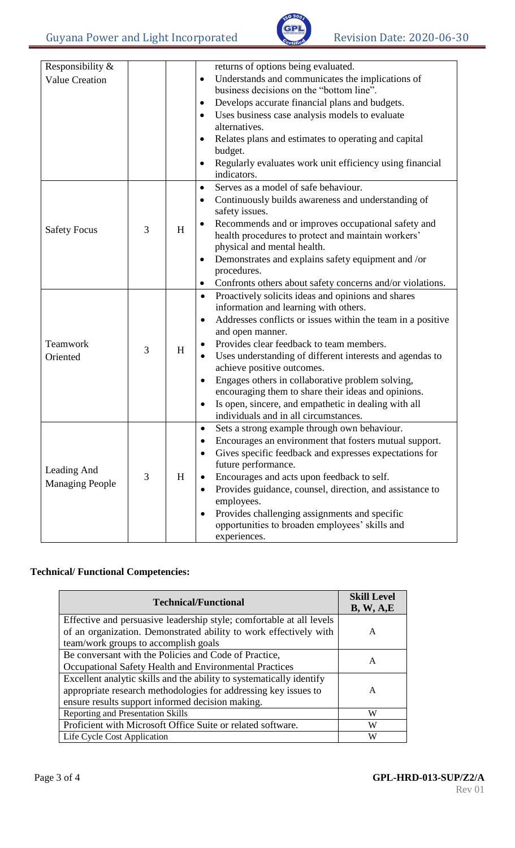

| Responsibility &       |   |   | returns of options being evaluated.                                    |
|------------------------|---|---|------------------------------------------------------------------------|
| <b>Value Creation</b>  |   |   | Understands and communicates the implications of<br>$\bullet$          |
|                        |   |   | business decisions on the "bottom line".                               |
|                        |   |   | Develops accurate financial plans and budgets.                         |
|                        |   |   | Uses business case analysis models to evaluate<br>$\bullet$            |
|                        |   |   | alternatives.                                                          |
|                        |   |   | Relates plans and estimates to operating and capital                   |
|                        |   |   | budget.                                                                |
|                        |   |   | Regularly evaluates work unit efficiency using financial               |
|                        |   |   | indicators.                                                            |
|                        |   |   | Serves as a model of safe behaviour.<br>$\bullet$                      |
|                        |   |   | Continuously builds awareness and understanding of                     |
|                        |   |   | safety issues.                                                         |
| <b>Safety Focus</b>    | 3 | H | Recommends and or improves occupational safety and                     |
|                        |   |   | health procedures to protect and maintain workers'                     |
|                        |   |   | physical and mental health.                                            |
|                        |   |   | Demonstrates and explains safety equipment and /or                     |
|                        |   |   | procedures.                                                            |
|                        |   |   | Confronts others about safety concerns and/or violations.<br>$\bullet$ |
|                        |   |   | Proactively solicits ideas and opinions and shares<br>$\bullet$        |
|                        |   |   | information and learning with others.                                  |
|                        |   |   | Addresses conflicts or issues within the team in a positive<br>٠       |
|                        |   |   | and open manner.                                                       |
| Teamwork               | 3 | H | Provides clear feedback to team members.<br>$\bullet$                  |
| Oriented               |   |   | Uses understanding of different interests and agendas to<br>$\bullet$  |
|                        |   |   | achieve positive outcomes.                                             |
|                        |   |   | Engages others in collaborative problem solving,<br>٠                  |
|                        |   |   | encouraging them to share their ideas and opinions.                    |
|                        |   |   | Is open, sincere, and empathetic in dealing with all<br>$\bullet$      |
|                        |   |   | individuals and in all circumstances.                                  |
|                        |   |   | Sets a strong example through own behaviour.<br>$\bullet$              |
|                        |   |   | Encourages an environment that fosters mutual support.                 |
|                        |   |   | Gives specific feedback and expresses expectations for<br>$\bullet$    |
| Leading And            |   |   | future performance.                                                    |
| <b>Managing People</b> | 3 | H | Encourages and acts upon feedback to self.<br>٠                        |
|                        |   |   | Provides guidance, counsel, direction, and assistance to<br>٠          |
|                        |   |   | employees.                                                             |
|                        |   |   | Provides challenging assignments and specific<br>٠                     |
|                        |   |   | opportunities to broaden employees' skills and                         |
|                        |   |   | experiences.                                                           |

## **Technical/ Functional Competencies:**

| <b>Technical/Functional</b>                                                                                                               | <b>Skill Level</b><br>B, W, A, E |
|-------------------------------------------------------------------------------------------------------------------------------------------|----------------------------------|
| Effective and persuasive leadership style; comfortable at all levels<br>of an organization. Demonstrated ability to work effectively with | A                                |
| team/work groups to accomplish goals                                                                                                      |                                  |
| Be conversant with the Policies and Code of Practice,                                                                                     | A                                |
| Occupational Safety Health and Environmental Practices                                                                                    |                                  |
| Excellent analytic skills and the ability to systematically identify                                                                      |                                  |
| appropriate research methodologies for addressing key issues to                                                                           | A                                |
| ensure results support informed decision making.                                                                                          |                                  |
| <b>Reporting and Presentation Skills</b>                                                                                                  | W                                |
| Proficient with Microsoft Office Suite or related software.                                                                               | W                                |
| Life Cycle Cost Application                                                                                                               | W                                |